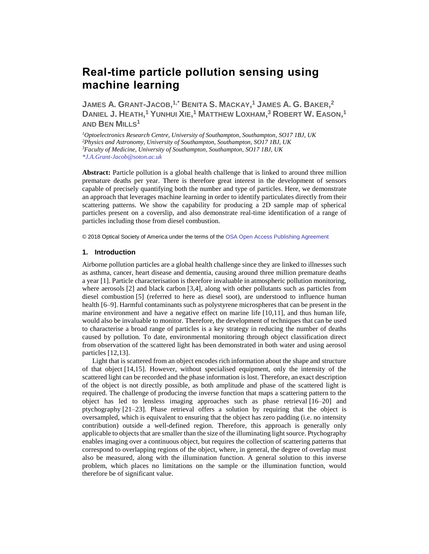# **Real-time particle pollution sensing using machine learning**

JAMES A. GRANT-JACOB, $^{1,^\ast}$  Benita S. Mackay, $^1$  James A. G. Baker, $^2$ DANIEL J. HEATH,<sup>1</sup> YUNHUI XIE,<sup>1</sup> MATTHEW LOXHAM,<sup>3</sup> ROBERT W. EASON,<sup>1</sup> **AND BEN MILLS<sup>1</sup>**

*Optoelectronics Research Centre, University of Southampton, Southampton, SO17 1BJ, UK Physics and Astronomy, University of Southampton, Southampton, SO17 1BJ, UK Faculty of Medicine, University of Southampton, Southampton, SO17 1BJ, UK \*J.A.Grant-Jacob@soton.ac.uk*

**Abstract:** Particle pollution is a global health challenge that is linked to around three million premature deaths per year. There is therefore great interest in the development of sensors capable of precisely quantifying both the number and type of particles. Here, we demonstrate an approach that leverages machine learning in order to identify particulates directly from their scattering patterns. We show the capability for producing a 2D sample map of spherical particles present on a coverslip, and also demonstrate real-time identification of a range of particles including those from diesel combustion.

© 2018 Optical Society of America under the terms of the [OSA Open Access Publishing Agreement](https://doi.org/10.1364/OA_License_v1)

#### **1. Introduction**

Airborne pollution particles are a global health challenge since they are linked to illnesses such as asthma, cancer, heart disease and dementia, causing around three million premature deaths a year [1]. Particle characterisation is therefore invaluable in atmospheric pollution monitoring, where aerosols [2] and black carbon [3,4], along with other pollutants such as particles from diesel combustion [5] (referred to here as diesel soot), are understood to influence human health [6–9]. Harmful contaminants such as polystyrene microspheres that can be present in the marine environment and have a negative effect on marine life [10,11], and thus human life, would also be invaluable to monitor. Therefore, the development of techniques that can be used to characterise a broad range of particles is a key strategy in reducing the number of deaths caused by pollution. To date, environmental monitoring through object classification direct from observation of the scattered light has been demonstrated in both water and using aerosol particles [12,13].

Light that is scattered from an object encodes rich information about the shape and structure of that object [14,15]. However, without specialised equipment, only the intensity of the scattered light can be recorded and the phase information is lost. Therefore, an exact description of the object is not directly possible, as both amplitude and phase of the scattered light is required. The challenge of producing the inverse function that maps a scattering pattern to the object has led to lensless imaging approaches such as phase retrieval [16–20] and ptychography [21–23]. Phase retrieval offers a solution by requiring that the object is oversampled, which is equivalent to ensuring that the object has zero padding (i.e. no intensity contribution) outside a well-defined region. Therefore, this approach is generally only applicable to objects that are smaller than the size of the illuminating light source. Ptychography enables imaging over a continuous object, but requires the collection of scattering patterns that correspond to overlapping regions of the object, where, in general, the degree of overlap must also be measured, along with the illumination function. A general solution to this inverse problem, which places no limitations on the sample or the illumination function, would therefore be of significant value.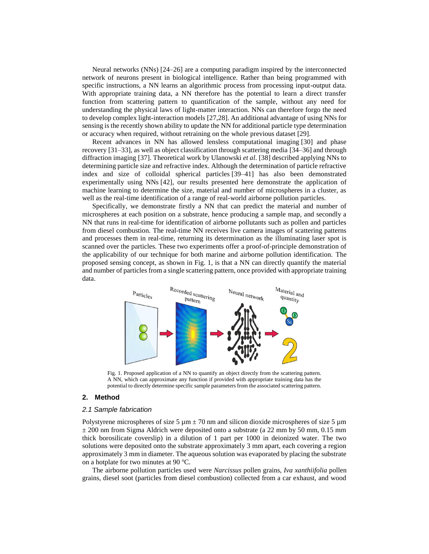Neural networks (NNs) [24–26] are a computing paradigm inspired by the interconnected network of neurons present in biological intelligence. Rather than being programmed with specific instructions, a NN learns an algorithmic process from processing input-output data. With appropriate training data, a NN therefore has the potential to learn a direct transfer function from scattering pattern to quantification of the sample, without any need for understanding the physical laws of light-matter interaction. NNs can therefore forgo the need to develop complex light-interaction models [27,28]. An additional advantage of using NNs for sensing is the recently shown ability to update the NN for additional particle type determination or accuracy when required, without retraining on the whole previous dataset [29].

Recent advances in NN has allowed lensless computational imaging [30] and phase recovery [31–33], as well as object classification through scattering media [34–36] and through diffraction imaging [37]. Theoretical work by Ulanowski *et al*. [38] described applying NNs to determining particle size and refractive index. Although the determination of particle refractive index and size of colloidal spherical particles [39–41] has also been demonstrated experimentally using NNs [42], our results presented here demonstrate the application of machine learning to determine the size, material and number of microspheres in a cluster, as well as the real-time identification of a range of real-world airborne pollution particles.

Specifically, we demonstrate firstly a NN that can predict the material and number of microspheres at each position on a substrate, hence producing a sample map, and secondly a NN that runs in real-time for identification of airborne pollutants such as pollen and particles from diesel combustion. The real-time NN receives live camera images of scattering patterns and processes them in real-time, returning its determination as the illuminating laser spot is scanned over the particles. These two experiments offer a proof-of-principle demonstration of the applicability of our technique for both marine and airborne pollution identification. The proposed sensing concept, as shown in Fig. 1, is that a NN can directly quantify the material and number of particles from a single scattering pattern, once provided with appropriate training data.



Fig. 1. Proposed application of a NN to quantify an object directly from the scattering pattern. A NN, which can approximate any function if provided with appropriate training data has the potential to directly determine specific sample parameters from the associated scattering pattern.

## **2. Method**

#### *2.1 Sample fabrication*

Polystyrene microspheres of size 5  $\mu$ m  $\pm$  70 nm and silicon dioxide microspheres of size 5  $\mu$ m  $\pm$  200 nm from Sigma Aldrich were deposited onto a substrate (a 22 mm by 50 mm, 0.15 mm thick borosilicate coverslip) in a dilution of 1 part per 1000 in deionized water. The two solutions were deposited onto the substrate approximately 3 mm apart, each covering a region approximately 3 mm in diameter. The aqueous solution was evaporated by placing the substrate on a hotplate for two minutes at 90  $\mathrm{^{\circ}C}.$ 

The airborne pollution particles used were *Narcissus* pollen grains, *Iva xanthiifolia* pollen grains, diesel soot (particles from diesel combustion) collected from a car exhaust, and wood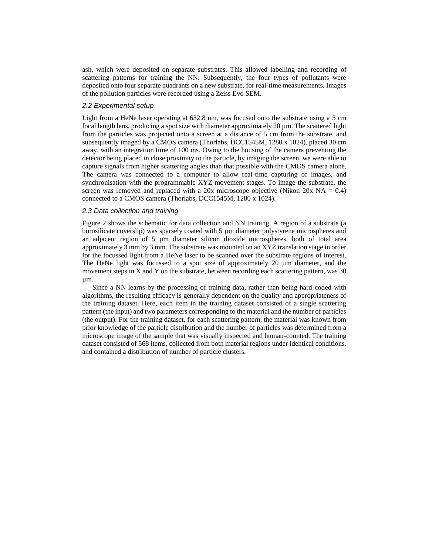ash, which were deposited on separate substrates. This allowed labelling and recording of scattering patterns for training the NN. Subsequently, the four types of pollutants were deposited onto four separate quadrants on a new substrate, for real-time measurements. Images of the pollution particles were recorded using a Zeiss Evo SEM.

# *2.2 Experimental setup*

Light from a HeNe laser operating at 632.8 nm, was focused onto the substrate using a 5 cm focal length lens, producing a spot size with diameter approximately 20  $\mu$ m. The scattered light from the particles was projected onto a screen at a distance of 5 cm from the substrate, and subsequently imaged by a CMOS camera (Thorlabs, DCC1545M, 1280 x 1024), placed 30 cm away, with an integration time of 100 ms. Owing to the housing of the camera preventing the detector being placed in close proximity to the particle, by imaging the screen, we were able to capture signals from higher scattering angles than that possible with the CMOS camera alone. The camera was connected to a computer to allow real-time capturing of images, and synchronisation with the programmable XYZ movement stages. To image the substrate, the screen was removed and replaced with a 20x microscope objective (Nikon 20x NA =  $0.4$ ) connected to a CMOS camera (Thorlabs, DCC1545M, 1280 x 1024).

# *2.3 Data collection and training*

Figure 2 shows the schematic for data collection and NN training. A region of a substrate (a borosilicate coverslip) was sparsely coated with 5 µm diameter polystyrene microspheres and an adjacent region of 5 µm diameter silicon dioxide microspheres, both of total area approximately 3 mm by 3 mm. The substrate was mounted on an XYZ translation stage in order for the focussed light from a HeNe laser to be scanned over the substrate regions of interest. The HeNe light was focussed to a spot size of approximately 20 µm diameter, and the movement steps in X and Y on the substrate, between recording each scattering pattern, was  $30$ µm.

Since a NN learns by the processing of training data, rather than being hard-coded with algorithms, the resulting efficacy is generally dependent on the quality and appropriateness of the training dataset. Here, each item in the training dataset consisted of a single scattering pattern (the input) and two parameters corresponding to the material and the number of particles (the output). For the training dataset, for each scattering pattern, the material was known from prior knowledge of the particle distribution and the number of particles was determined from a microscope image of the sample that was visually inspected and human-counted. The training dataset consisted of 568 items, collected from both material regions under identical conditions, and contained a distribution of number of particle clusters.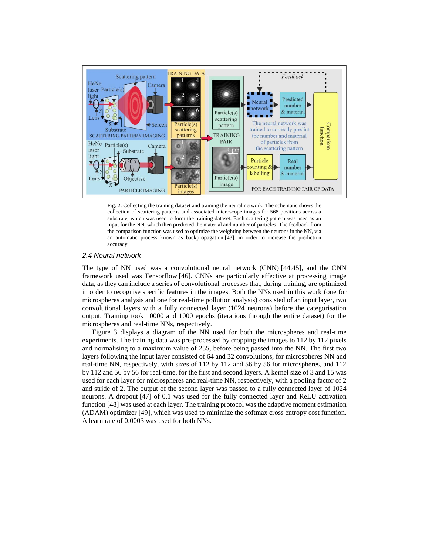

Fig. 2. Collecting the training dataset and training the neural network. The schematic shows the collection of scattering patterns and associated microscope images for 568 positions across a substrate, which was used to form the training dataset. Each scattering pattern was used as an input for the NN, which then predicted the material and number of particles. The feedback from the comparison function was used to optimize the weighting between the neurons in the NN, via an automatic process known as backpropagation [43], in order to increase the prediction accuracy.

## *2.4 Neural network*

The type of NN used was a convolutional neural network (CNN) [44,45], and the CNN framework used was Tensorflow [46]. CNNs are particularly effective at processing image data, as they can include a series of convolutional processes that, during training, are optimized in order to recognise specific features in the images. Both the NNs used in this work (one for microspheres analysis and one for real-time pollution analysis) consisted of an input layer, two convolutional layers with a fully connected layer (1024 neurons) before the categorisation output. Training took 10000 and 1000 epochs (iterations through the entire dataset) for the microspheres and real-time NNs, respectively.

Figure 3 displays a diagram of the NN used for both the microspheres and real-time experiments. The training data was pre-processed by cropping the images to 112 by 112 pixels and normalising to a maximum value of 255, before being passed into the NN. The first two layers following the input layer consisted of 64 and 32 convolutions, for microspheres NN and real-time NN, respectively, with sizes of 112 by 112 and 56 by 56 for microspheres, and 112 by 112 and 56 by 56 for real-time, for the first and second layers. A kernel size of 3 and 15 was used for each layer for microspheres and real-time NN, respectively, with a pooling factor of 2 and stride of 2. The output of the second layer was passed to a fully connected layer of 1024 neurons. A dropout [47] of 0.1 was used for the fully connected layer and ReLU activation function [48] was used at each layer. The training protocol was the adaptive moment estimation (ADAM) optimizer [49], which was used to minimize the softmax cross entropy cost function. A learn rate of 0.0003 was used for both NNs.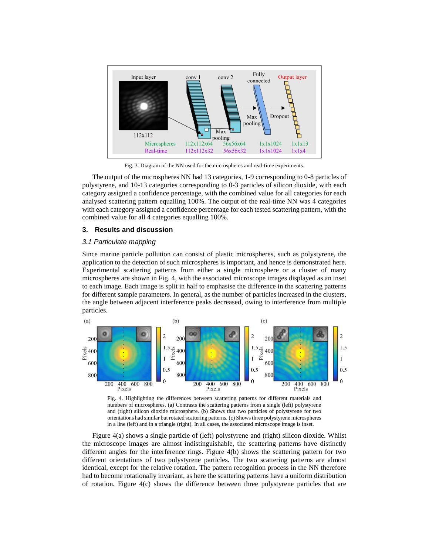

Fig. 3. Diagram of the NN used for the microspheres and real-time experiments.

The output of the microspheres NN had 13 categories, 1-9 corresponding to 0-8 particles of polystyrene, and 10-13 categories corresponding to 0-3 particles of silicon dioxide, with each category assigned a confidence percentage, with the combined value for all categories for each analysed scattering pattern equalling 100%. The output of the real-time NN was 4 categories with each category assigned a confidence percentage for each tested scattering pattern, with the combined value for all 4 categories equalling 100%.

# **3. Results and discussion**

# *3.1 Particulate mapping*

Since marine particle pollution can consist of plastic microspheres, such as polystyrene, the application to the detection of such microspheres is important, and hence is demonstrated here. Experimental scattering patterns from either a single microsphere or a cluster of many microspheres are shown in Fig. 4, with the associated microscope images displayed as an inset to each image. Each image is split in half to emphasise the difference in the scattering patterns for different sample parameters. In general, as the number of particles increased in the clusters, the angle between adjacent interference peaks decreased, owing to interference from multiple particles.



Fig. 4. Highlighting the differences between scattering patterns for different materials and numbers of microspheres. (a) Contrasts the scattering patterns from a single (left) polystyrene and (right) silicon dioxide microsphere. (b) Shows that two particles of polystyrene for two orientations had similar but rotated scattering patterns. (c) Shows three polystyrene microspheres in a line (left) and in a triangle (right). In all cases, the associated microscope image is inset.

Figure 4(a) shows a single particle of (left) polystyrene and (right) silicon dioxide. Whilst the microscope images are almost indistinguishable, the scattering patterns have distinctly different angles for the interference rings. Figure 4(b) shows the scattering pattern for two different orientations of two polystyrene particles. The two scattering patterns are almost identical, except for the relative rotation. The pattern recognition process in the NN therefore had to become rotationally invariant, as here the scattering patterns have a uniform distribution of rotation. Figure 4(c) shows the difference between three polystyrene particles that are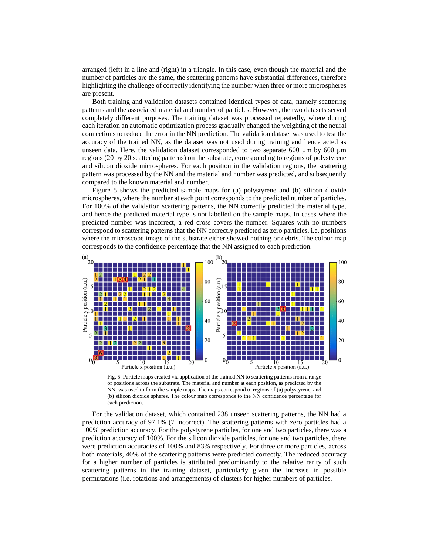arranged (left) in a line and (right) in a triangle. In this case, even though the material and the number of particles are the same, the scattering patterns have substantial differences, therefore highlighting the challenge of correctly identifying the number when three or more microspheres are present.

Both training and validation datasets contained identical types of data, namely scattering patterns and the associated material and number of particles. However, the two datasets served completely different purposes. The training dataset was processed repeatedly, where during each iteration an automatic optimization process gradually changed the weighting of the neural connections to reduce the error in the NN prediction. The validation dataset was used to test the accuracy of the trained NN, as the dataset was not used during training and hence acted as unseen data. Here, the validation dataset corresponded to two separate 600  $\mu$ m by 600  $\mu$ m regions (20 by 20 scattering patterns) on the substrate, corresponding to regions of polystyrene and silicon dioxide microspheres. For each position in the validation regions, the scattering pattern was processed by the NN and the material and number was predicted, and subsequently compared to the known material and number.

Figure 5 shows the predicted sample maps for (a) polystyrene and (b) silicon dioxide microspheres, where the number at each point corresponds to the predicted number of particles. For 100% of the validation scattering patterns, the NN correctly predicted the material type, and hence the predicted material type is not labelled on the sample maps. In cases where the predicted number was incorrect, a red cross covers the number. Squares with no numbers correspond to scattering patterns that the NN correctly predicted as zero particles, i.e. positions where the microscope image of the substrate either showed nothing or debris. The colour map



Fig. 5. Particle maps created via application of the trained NN to scattering patterns from a range of positions across the substrate. The material and number at each position, as predicted by the NN, was used to form the sample maps. The maps correspond to regions of (a) polystyrene, and (b) silicon dioxide spheres. The colour map corresponds to the NN confidence percentage for each prediction.

For the validation dataset, which contained 238 unseen scattering patterns, the NN had a prediction accuracy of 97.1% (7 incorrect). The scattering patterns with zero particles had a 100% prediction accuracy. For the polystyrene particles, for one and two particles, there was a prediction accuracy of 100%. For the silicon dioxide particles, for one and two particles, there were prediction accuracies of 100% and 83% respectively. For three or more particles, across both materials, 40% of the scattering patterns were predicted correctly. The reduced accuracy for a higher number of particles is attributed predominantly to the relative rarity of such scattering patterns in the training dataset, particularly given the increase in possible permutations (i.e. rotations and arrangements) of clusters for higher numbers of particles.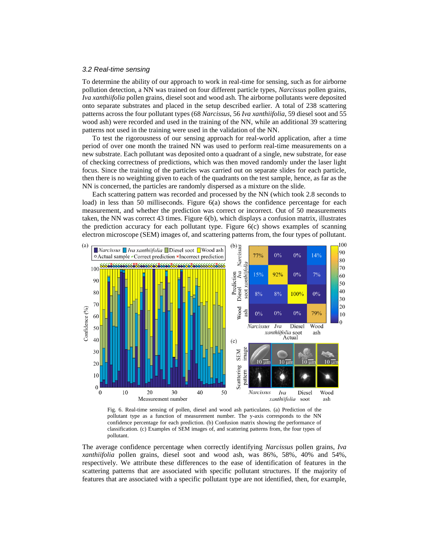## *3.2 Real-time sensing*

To determine the ability of our approach to work in real-time for sensing, such as for airborne pollution detection, a NN was trained on four different particle types, *Narcissus* pollen grains, *Iva xanthiifolia* pollen grains, diesel soot and wood ash. The airborne pollutants were deposited onto separate substrates and placed in the setup described earlier. A total of 238 scattering patterns across the four pollutant types (68 *Narcissus*, 56 *Iva xanthiifolia*, 59 diesel soot and 55 wood ash) were recorded and used in the training of the NN, while an additional 39 scattering patterns not used in the training were used in the validation of the NN.

To test the rigorousness of our sensing approach for real-world application, after a time period of over one month the trained NN was used to perform real-time measurements on a new substrate. Each pollutant was deposited onto a quadrant of a single, new substrate, for ease of checking correctness of predictions, which was then moved randomly under the laser light focus. Since the training of the particles was carried out on separate slides for each particle, then there is no weighting given to each of the quadrants on the test sample, hence, as far as the NN is concerned, the particles are randomly dispersed as a mixture on the slide.

Each scattering pattern was recorded and processed by the NN (which took 2.8 seconds to load) in less than 50 milliseconds. Figure 6(a) shows the confidence percentage for each measurement, and whether the prediction was correct or incorrect. Out of 50 measurements taken, the NN was correct 43 times. Figure 6(b), which displays a confusion matrix, illustrates the prediction accuracy for each pollutant type. Figure 6(c) shows examples of scanning electron microscope (SEM) images of, and scattering patterns from, the four types of pollutant.



Fig. 6. Real-time sensing of pollen, diesel and wood ash particulates. (a) Prediction of the pollutant type as a function of measurement number. The y-axis corresponds to the NN confidence percentage for each prediction. (b) Confusion matrix showing the performance of classification. (c) Examples of SEM images of, and scattering patterns from, the four types of pollutant.

The average confidence percentage when correctly identifying *Narcissus* pollen grains, *Iva xanthiifolia* pollen grains, diesel soot and wood ash, was 86%, 58%, 40% and 54%, respectively. We attribute these differences to the ease of identification of features in the scattering patterns that are associated with specific pollutant structures. If the majority of features that are associated with a specific pollutant type are not identified, then, for example,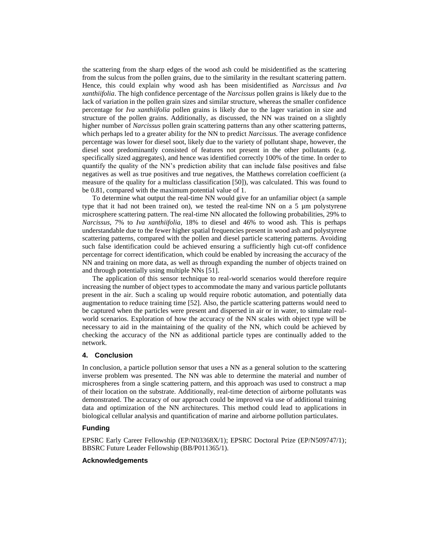the scattering from the sharp edges of the wood ash could be misidentified as the scattering from the sulcus from the pollen grains, due to the similarity in the resultant scattering pattern. Hence, this could explain why wood ash has been misidentified as *Narcissus* and *Iva xanthiifolia*. The high confidence percentage of the *Narcissus* pollen grains is likely due to the lack of variation in the pollen grain sizes and similar structure, whereas the smaller confidence percentage for *Iva xanthiifolia* pollen grains is likely due to the lager variation in size and structure of the pollen grains. Additionally, as discussed, the NN was trained on a slightly higher number of *Narcissus* pollen grain scattering patterns than any other scattering patterns, which perhaps led to a greater ability for the NN to predict *Narcissus*. The average confidence percentage was lower for diesel soot, likely due to the variety of pollutant shape, however, the diesel soot predominantly consisted of features not present in the other pollutants (e.g. specifically sized aggregates), and hence was identified correctly 100% of the time. In order to quantify the quality of the NN's prediction ability that can include false positives and false negatives as well as true positives and true negatives, the Matthews correlation coefficient (a measure of the quality for a multiclass classification [50]), was calculated. This was found to be 0.81, compared with the maximum potential value of 1.

To determine what output the real-time NN would give for an unfamiliar object (a sample type that it had not been trained on), we tested the real-time NN on a  $5 \mu m$  polystyrene microsphere scattering pattern. The real-time NN allocated the following probabilities, 29% to *Narcissus*, 7% to *Iva xanthiifolia*, 18% to diesel and 46% to wood ash. This is perhaps understandable due to the fewer higher spatial frequencies present in wood ash and polystyrene scattering patterns, compared with the pollen and diesel particle scattering patterns. Avoiding such false identification could be achieved ensuring a sufficiently high cut-off confidence percentage for correct identification, which could be enabled by increasing the accuracy of the NN and training on more data, as well as through expanding the number of objects trained on and through potentially using multiple NNs [51].

The application of this sensor technique to real-world scenarios would therefore require increasing the number of object types to accommodate the many and various particle pollutants present in the air. Such a scaling up would require robotic automation, and potentially data augmentation to reduce training time [52]. Also, the particle scattering patterns would need to be captured when the particles were present and dispersed in air or in water, to simulate realworld scenarios. Exploration of how the accuracy of the NN scales with object type will be necessary to aid in the maintaining of the quality of the NN, which could be achieved by checking the accuracy of the NN as additional particle types are continually added to the network.

# **4. Conclusion**

In conclusion, a particle pollution sensor that uses a NN as a general solution to the scattering inverse problem was presented. The NN was able to determine the material and number of microspheres from a single scattering pattern, and this approach was used to construct a map of their location on the substrate. Additionally, real-time detection of airborne pollutants was demonstrated. The accuracy of our approach could be improved via use of additional training data and optimization of the NN architectures. This method could lead to applications in biological cellular analysis and quantification of marine and airborne pollution particulates.

# **Funding**

EPSRC Early Career Fellowship (EP/N03368X/1); EPSRC Doctoral Prize (EP/N509747/1); BBSRC Future Leader Fellowship (BB/P011365/1).

# **Acknowledgements**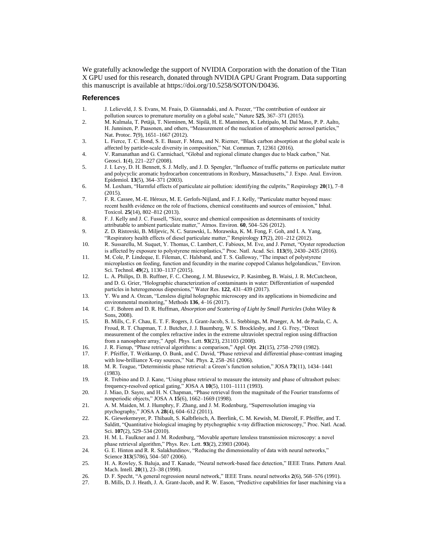We gratefully acknowledge the support of NVIDIA Corporation with the donation of the Titan X GPU used for this research, donated through NVIDIA GPU Grant Program. Data supporting this manuscript is available at https://doi.org/10.5258/SOTON/D0436.

#### **References**

- 1. J. Lelieveld, J. S. Evans, M. Fnais, D. Giannadaki, and A. Pozzer, "The contribution of outdoor air pollution sources to premature mortality on a global scale," Nature **525**, 367–371 (2015).
- 2. M. Kulmala, T. Petäjä, T. Nieminen, M. Sipilä, H. E. Manninen, K. Lehtipalo, M. Dal Maso, P. P. Aalto, H. Junninen, P. Paasonen, and others, "Measurement of the nucleation of atmospheric aerosol particles," Nat. Protoc. **7**(9), 1651–1667 (2012).
- 3. L. Fierce, T. C. Bond, S. E. Bauer, F. Mena, and N. Riemer, "Black carbon absorption at the global scale is affected by particle-scale diversity in composition," Nat. Commun. **7**, 12361 (2016).
- 4. V. Ramanathan and G. Carmichael, "Global and regional climate changes due to black carbon," Nat. Geosci. **1**(4), 221–227 (2008).
- 5. J. I. Levy, D. H. Bennett, S. J. Melly, and J. D. Spengler, "Influence of traffic patterns on particulate matter and polycyclic aromatic hydrocarbon concentrations in Roxbury, Massachusetts," J. Expo. Anal. Environ. Epidemiol. **13**(5), 364–371 (2003).
- 6. M. Loxham, "Harmful effects of particulate air pollution: identifying the culprits," Respirology **20**(1), 7–8 (2015).
- 7. F. R. Cassee, M.-E. Héroux, M. E. Gerlofs-Nijland, and F. J. Kelly, "Particulate matter beyond mass: recent health evidence on the role of fractions, chemical constituents and sources of emission," Inhal. Toxicol. **25**(14), 802–812 (2013).
- 8. F. J. Kelly and J. C. Fussell, "Size, source and chemical composition as determinants of toxicity attributable to ambient particulate matter," Atmos. Environ. **60**, 504–526 (2012).
- 9. Z. D. Ristovski, B. Miljevic, N. C. Surawski, L. Morawska, K. M. Fong, F. Goh, and I. A. Yang, "Respiratory health effects of diesel particulate matter," Respirology **17**(2), 201–212 (2012).
- 10. R. Sussarellu, M. Suquet, Y. Thomas, C. Lambert, C. Fabioux, M. Eve, and J. Pernet, "Oyster reproduction is affected by exposure to polystyrene microplastics," Proc. Natl. Acad. Sci. **113**(9), 2430–2435 (2016).
- 11. M. Cole, P. Lindeque, E. Fileman, C. Halsband, and T. S. Galloway, "The impact of polystyrene microplastics on feeding, function and fecundity in the marine copepod Calanus helgolandicus," Environ. Sci. Technol. **49**(2), 1130–1137 (2015).
- 12. L. A. Philips, D. B. Ruffner, F. C. Cheong, J. M. Blusewicz, P. Kasimbeg, B. Waisi, J. R. McCutcheon, and D. G. Grier, "Holographic characterization of contaminants in water: Differentiation of suspended particles in heterogeneous dispersions," Water Res. **122**, 431–439 (2017).
- 13. Y. Wu and A. Ozcan, "Lensless digital holographic microscopy and its applications in biomedicine and environmental monitoring," Methods **136**, 4–16 (2017).
- 14. C. F. Bohren and D. R. Huffman, *Absorption and Scattering of Light by Small Particles* (John Wiley & Sons, 2008).
- 15. B. Mills, C. F. Chau, E. T. F. Rogers, J. Grant-Jacob, S. L. Stebbings, M. Praeger, A. M. de Paula, C. A. Froud, R. T. Chapman, T. J. Butcher, J. J. Baumberg, W. S. Brocklesby, and J. G. Frey, "Direct measurement of the complex refractive index in the extreme ultraviolet spectral region using diffraction from a nanosphere array," Appl. Phys. Lett. **93**(23), 231103 (2008).
- 16. J. R. Fienup, "Phase retrieval algorithms: a comparison," Appl. Opt. **21**(15), 2758–2769 (1982).
- 17. F. Pfeiffer, T. Weitkamp, O. Bunk, and C. David, "Phase retrieval and differential phase-contrast imaging with low-brilliance X-ray sources," Nat. Phys. **2**, 258–261 (2006).
- 18. M. R. Teague, "Deterministic phase retrieval: a Green's function solution," JOSA **73**(11), 1434–1441 (1983).
- 19. R. Trebino and D. J. Kane, "Using phase retrieval to measure the intensity and phase of ultrashort pulses: frequency-resolved optical gating," JOSA A **10**(5), 1101–1111 (1993).
- 20. J. Miao, D. Sayre, and H. N. Chapman, "Phase retrieval from the magnitude of the Fourier transforms of nonperiodic objects," JOSA A **15**(6), 1662–1669 (1998).
- 21. A. M. Maiden, M. J. Humphry, F. Zhang, and J. M. Rodenburg, "Superresolution imaging via ptychography," JOSA A **28**(4), 604–612 (2011).
- 22. K. Giewekemeyer, P. Thibault, S. Kalbfleisch, A. Beerlink, C. M. Kewish, M. Dierolf, F. Pfeiffer, and T. Salditt, "Quantitative biological imaging by ptychographic x-ray diffraction microscopy," Proc. Natl. Acad. Sci. **107**(2), 529–534 (2010).
- 23. H. M. L. Faulkner and J. M. Rodenburg, "Movable aperture lensless transmission microscopy: a novel phase retrieval algorithm," Phys. Rev. Lett. **93**(2), 23903 (2004).
- 24. G. E. Hinton and R. R. Salakhutdinov, "Reducing the dimensionality of data with neural networks," Science **313**(5786), 504–507 (2006).
- 25. H. A. Rowley, S. Baluja, and T. Kanade, "Neural network-based face detection," IEEE Trans. Pattern Anal. Mach. Intell. **20**(1), 23–38 (1998).
- 26. D. F. Specht, "A general regression neural network," IEEE Trans. neural networks 2(6), 568–576 (1991).<br>27. B. Mills, D. J. Heath, J. A. Grant-Jacob, and R. W. Eason, "Predictive capabilities for laser machining via
- 27. B. Mills, D. J. Heath, J. A. Grant-Jacob, and R. W. Eason, "Predictive capabilities for laser machining via a